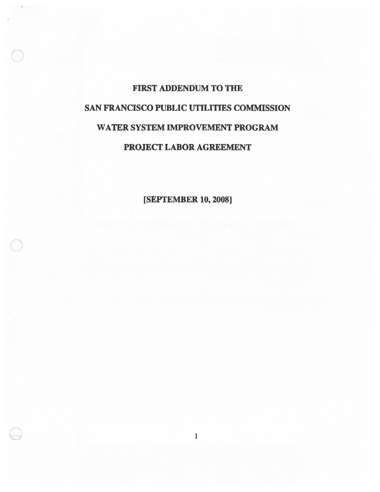## **FIRST ADDENDUM TO THE SAN FRANCISCO PUBLIC UTILITIES COMMISSION WATER SYSTEM IMPROVEMENT PROGRAM PROJECT LABOR AGREEMENT**

**[SEPTEMBER 10, 2008]**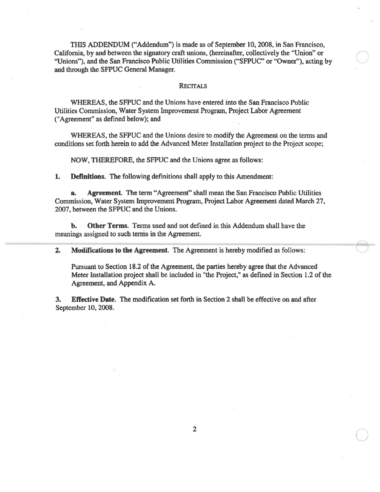THIS ADDENDUM ("Addendum") is made as of September **10,** 2008, in San Francisco, California, by and between the signatory craft unions, (hereinafter, collectively the "Union" or "Unions"), and the San Francisco Public Utilities Commission ("SFPUC" or "Owner"), acting by and through the SFPUC General Manager.

## **RECITALS**

WHEREAS, the SFPUC and the Unions have entered into the San Francisco Public Utilities Commission, Water System Improvement Program, Project Labor Agreement ("Agreement" as defined below); and

WHEREAS, the SFPUC and the Unions desire to modify the Agreement on the terms and conditions set forth herein **to add** the Advanced Meter Installation project to the Project scope;

NOW, THEREFORE, the SFPUC and the Unions agree as follows:

**1. Definitions.** The following definitions shall apply to this Amendment:

**Agreement.** The term "Agreement" shall mean the San Francisco Public Utilities Commission, Water System Improvement Program, Project Labor Agreement dated March 27, 2007, between the SFPUC and the Unions.

**b. Other Terms.** Terms used and not defined in this Addendum shall have the meanings assigned to such terms in the Agreement.

**2. Modifications to the Agreement.** The Agreement is hereby modified as follows:

Pursuant to Section 18.2 of the Agreement, the parties hereby agree that the Advanced Meter Installation project shall be included in "the Project," as defined in Section 1.2 of the Agreement, and Appendix A.

**3. Effective Date.** The modification set **forth** in Section 2 shall be effective on and after September 10, 2008.

2